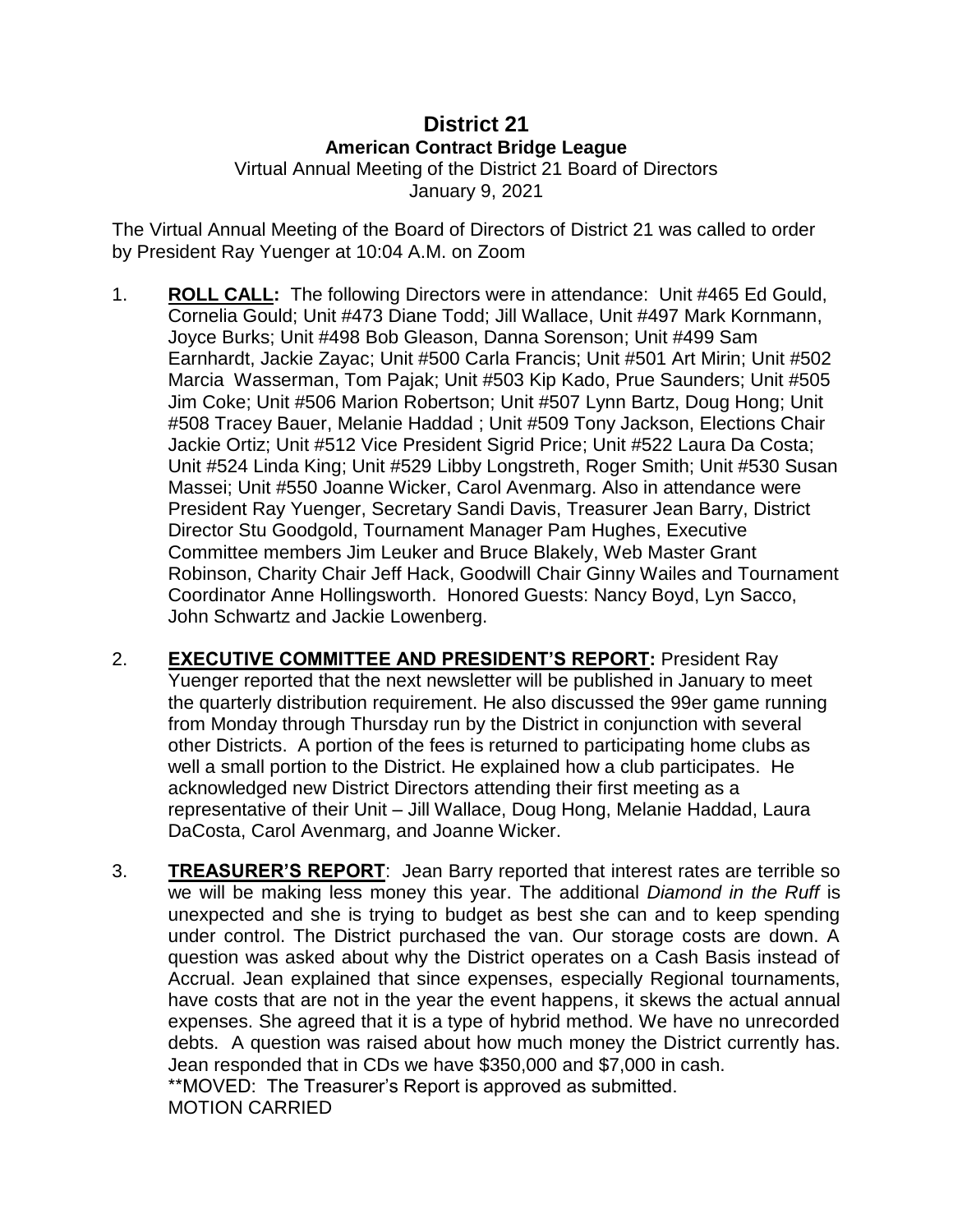## **District 21 American Contract Bridge League**

Virtual Annual Meeting of the District 21 Board of Directors January 9, 2021

The Virtual Annual Meeting of the Board of Directors of District 21 was called to order by President Ray Yuenger at 10:04 A.M. on Zoom

- 1. **ROLL CALL:** The following Directors were in attendance: Unit #465 Ed Gould, Cornelia Gould; Unit #473 Diane Todd; Jill Wallace, Unit #497 Mark Kornmann, Joyce Burks; Unit #498 Bob Gleason, Danna Sorenson; Unit #499 Sam Earnhardt, Jackie Zayac; Unit #500 Carla Francis; Unit #501 Art Mirin; Unit #502 Marcia Wasserman, Tom Pajak; Unit #503 Kip Kado, Prue Saunders; Unit #505 Jim Coke; Unit #506 Marion Robertson; Unit #507 Lynn Bartz, Doug Hong; Unit #508 Tracey Bauer, Melanie Haddad ; Unit #509 Tony Jackson, Elections Chair Jackie Ortiz; Unit #512 Vice President Sigrid Price; Unit #522 Laura Da Costa; Unit #524 Linda King; Unit #529 Libby Longstreth, Roger Smith; Unit #530 Susan Massei; Unit #550 Joanne Wicker, Carol Avenmarg. Also in attendance were President Ray Yuenger, Secretary Sandi Davis, Treasurer Jean Barry, District Director Stu Goodgold, Tournament Manager Pam Hughes, Executive Committee members Jim Leuker and Bruce Blakely, Web Master Grant Robinson, Charity Chair Jeff Hack, Goodwill Chair Ginny Wailes and Tournament Coordinator Anne Hollingsworth. Honored Guests: Nancy Boyd, Lyn Sacco, John Schwartz and Jackie Lowenberg.
- 2. **EXECUTIVE COMMITTEE AND PRESIDENT'S REPORT:** President Ray Yuenger reported that the next newsletter will be published in January to meet the quarterly distribution requirement. He also discussed the 99er game running from Monday through Thursday run by the District in conjunction with several other Districts. A portion of the fees is returned to participating home clubs as well a small portion to the District. He explained how a club participates. He acknowledged new District Directors attending their first meeting as a representative of their Unit – Jill Wallace, Doug Hong, Melanie Haddad, Laura DaCosta, Carol Avenmarg, and Joanne Wicker.
- 3. **TREASURER'S REPORT**: Jean Barry reported that interest rates are terrible so we will be making less money this year. The additional *Diamond in the Ruff* is unexpected and she is trying to budget as best she can and to keep spending under control. The District purchased the van. Our storage costs are down. A question was asked about why the District operates on a Cash Basis instead of Accrual. Jean explained that since expenses, especially Regional tournaments, have costs that are not in the year the event happens, it skews the actual annual expenses. She agreed that it is a type of hybrid method. We have no unrecorded debts. A question was raised about how much money the District currently has. Jean responded that in CDs we have \$350,000 and \$7,000 in cash. \*\*MOVED: The Treasurer's Report is approved as submitted. MOTION CARRIED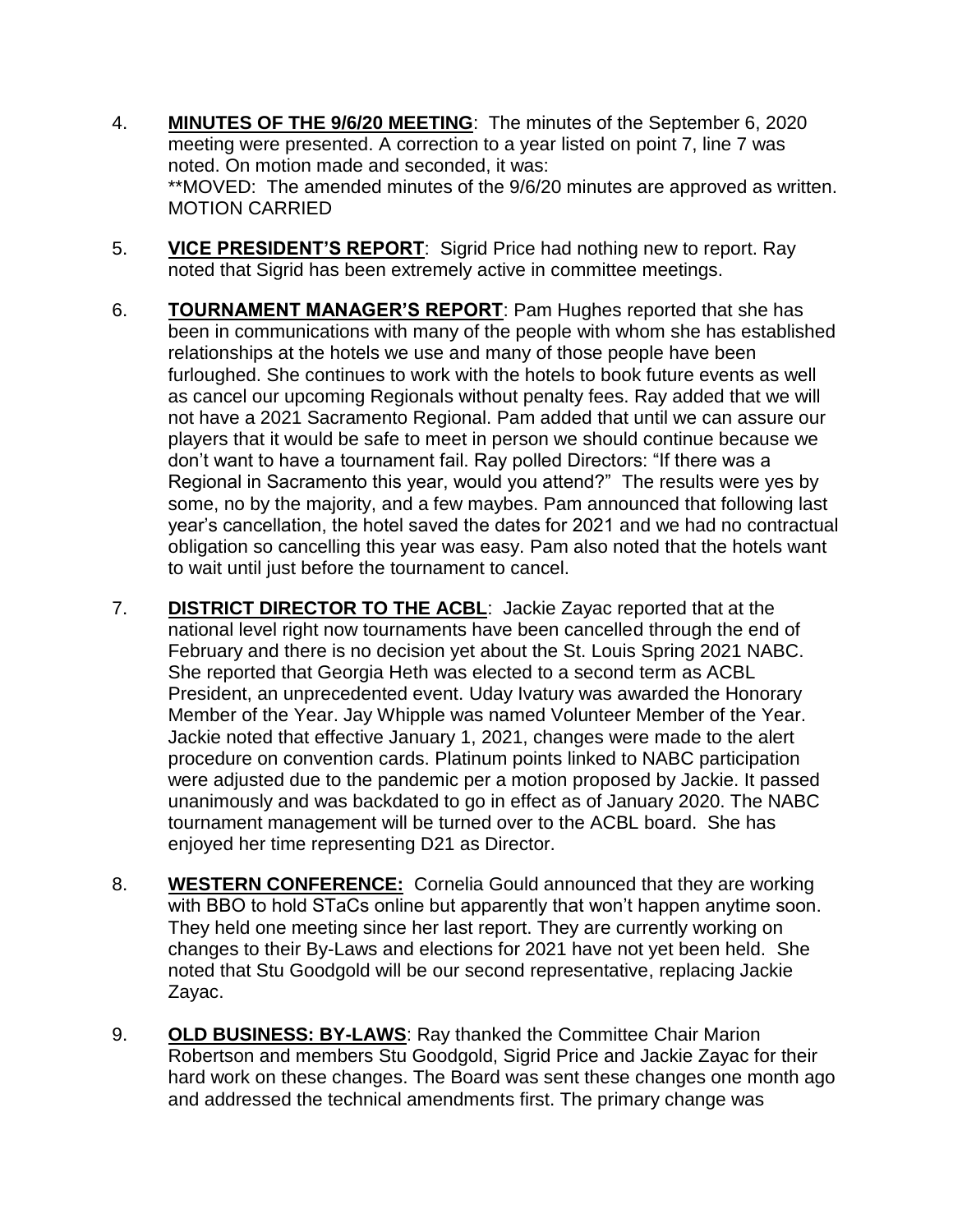- 4. **MINUTES OF THE 9/6/20 MEETING**: The minutes of the September 6, 2020 meeting were presented. A correction to a year listed on point 7, line 7 was noted. On motion made and seconded, it was: \*\*MOVED: The amended minutes of the 9/6/20 minutes are approved as written. MOTION CARRIED
- 5. **VICE PRESIDENT'S REPORT**: Sigrid Price had nothing new to report. Ray noted that Sigrid has been extremely active in committee meetings.
- 6. **TOURNAMENT MANAGER'S REPORT**: Pam Hughes reported that she has been in communications with many of the people with whom she has established relationships at the hotels we use and many of those people have been furloughed. She continues to work with the hotels to book future events as well as cancel our upcoming Regionals without penalty fees. Ray added that we will not have a 2021 Sacramento Regional. Pam added that until we can assure our players that it would be safe to meet in person we should continue because we don't want to have a tournament fail. Ray polled Directors: "If there was a Regional in Sacramento this year, would you attend?" The results were yes by some, no by the majority, and a few maybes. Pam announced that following last year's cancellation, the hotel saved the dates for 2021 and we had no contractual obligation so cancelling this year was easy. Pam also noted that the hotels want to wait until just before the tournament to cancel.
- 7. **DISTRICT DIRECTOR TO THE ACBL**: Jackie Zayac reported that at the national level right now tournaments have been cancelled through the end of February and there is no decision yet about the St. Louis Spring 2021 NABC. She reported that Georgia Heth was elected to a second term as ACBL President, an unprecedented event. Uday Ivatury was awarded the Honorary Member of the Year. Jay Whipple was named Volunteer Member of the Year. Jackie noted that effective January 1, 2021, changes were made to the alert procedure on convention cards. Platinum points linked to NABC participation were adjusted due to the pandemic per a motion proposed by Jackie. It passed unanimously and was backdated to go in effect as of January 2020. The NABC tournament management will be turned over to the ACBL board. She has enjoyed her time representing D21 as Director.
- 8. **WESTERN CONFERENCE:** Cornelia Gould announced that they are working with BBO to hold STaCs online but apparently that won't happen anytime soon. They held one meeting since her last report. They are currently working on changes to their By-Laws and elections for 2021 have not yet been held. She noted that Stu Goodgold will be our second representative, replacing Jackie Zayac.
- 9. **OLD BUSINESS: BY-LAWS**: Ray thanked the Committee Chair Marion Robertson and members Stu Goodgold, Sigrid Price and Jackie Zayac for their hard work on these changes. The Board was sent these changes one month ago and addressed the technical amendments first. The primary change was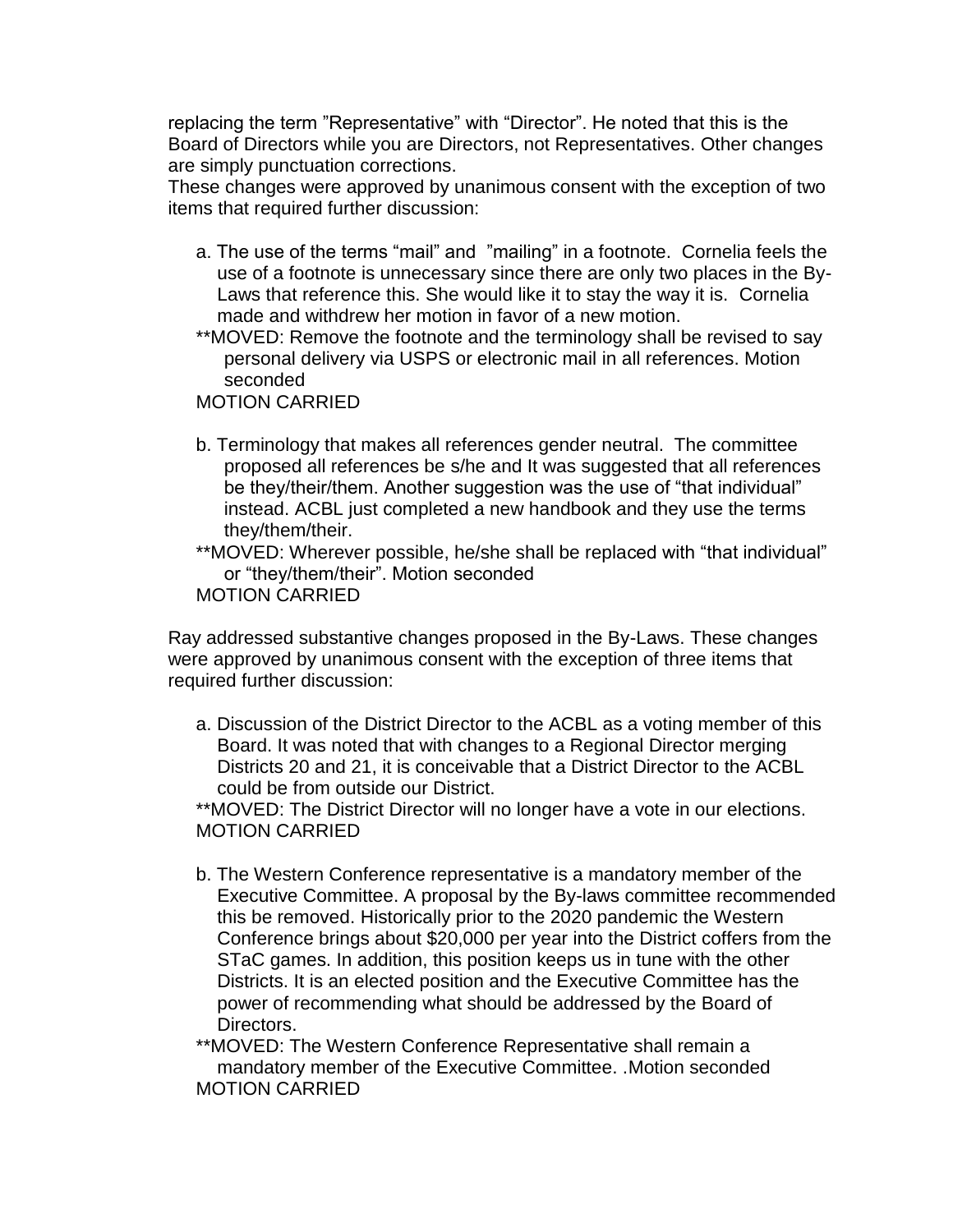replacing the term "Representative" with "Director". He noted that this is the Board of Directors while you are Directors, not Representatives. Other changes are simply punctuation corrections.

These changes were approved by unanimous consent with the exception of two items that required further discussion:

- a. The use of the terms "mail" and "mailing" in a footnote. Cornelia feels the use of a footnote is unnecessary since there are only two places in the By-Laws that reference this. She would like it to stay the way it is. Cornelia made and withdrew her motion in favor of a new motion.
- \*\*MOVED: Remove the footnote and the terminology shall be revised to say personal delivery via USPS or electronic mail in all references. Motion seconded

MOTION CARRIED

b. Terminology that makes all references gender neutral. The committee proposed all references be s/he and It was suggested that all references be they/their/them. Another suggestion was the use of "that individual" instead. ACBL just completed a new handbook and they use the terms they/them/their.

\*\*MOVED: Wherever possible, he/she shall be replaced with "that individual" or "they/them/their". Motion seconded MOTION CARRIED

Ray addressed substantive changes proposed in the By-Laws. These changes were approved by unanimous consent with the exception of three items that required further discussion:

a. Discussion of the District Director to the ACBL as a voting member of this Board. It was noted that with changes to a Regional Director merging Districts 20 and 21, it is conceivable that a District Director to the ACBL could be from outside our District.

\*\*MOVED: The District Director will no longer have a vote in our elections. MOTION CARRIED

b. The Western Conference representative is a mandatory member of the Executive Committee. A proposal by the By-laws committee recommended this be removed. Historically prior to the 2020 pandemic the Western Conference brings about \$20,000 per year into the District coffers from the STaC games. In addition, this position keeps us in tune with the other Districts. It is an elected position and the Executive Committee has the power of recommending what should be addressed by the Board of Directors.

\*\*MOVED: The Western Conference Representative shall remain a mandatory member of the Executive Committee. .Motion seconded MOTION CARRIED